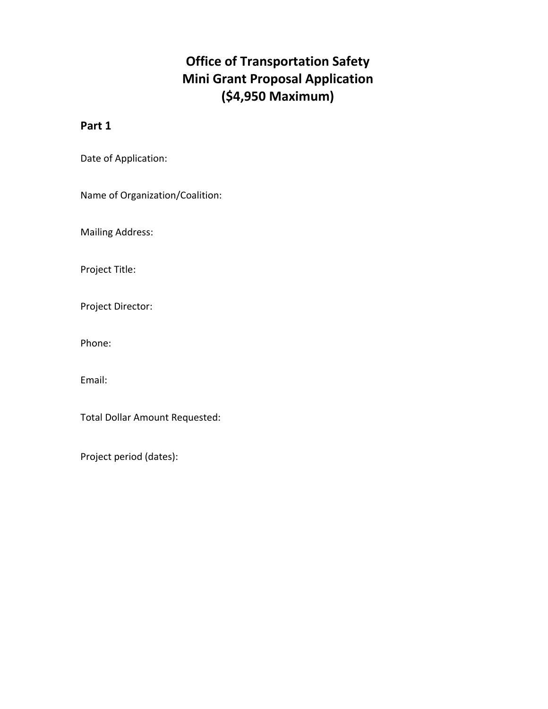## **Office of Transportation Safety Mini Grant Proposal Application (\$4,950 Maximum)**

## **Part 1**

Date of Application:

Name of Organization/Coalition:

Mailing Address:

Project Title:

Project Director:

Phone:

Email:

Total Dollar Amount Requested:

Project period (dates):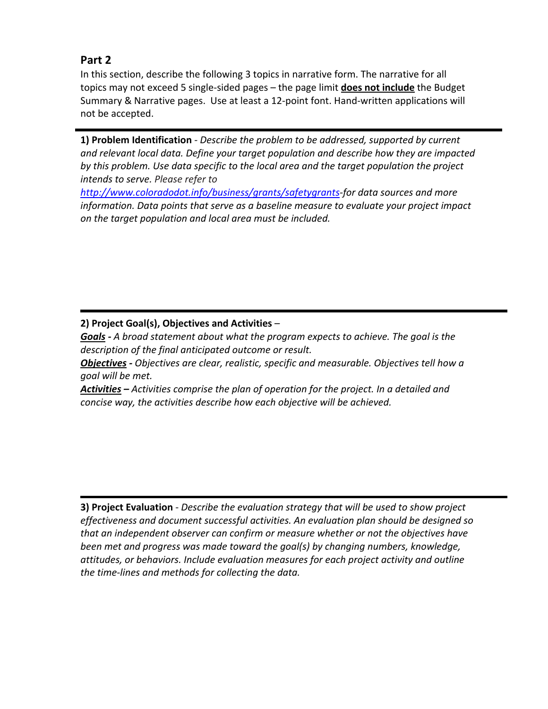## **Part 2**

In this section, describe the following 3 topics in narrative form. The narrative for all topics may not exceed 5 single‐sided pages – the page limit **does not include** the Budget Summary & Narrative pages. Use at least a 12‐point font. Hand‐written applications will not be accepted.

**1) Problem Identification** *‐ Describe the problem to be addressed, supported by current and relevant local data. Define your target population and describe how they are impacted by this problem. Use data specific to the local area and the target population the project intends to serve. Please refer to*

*http://www.coloradodot.info/business/grants/safetygrants‐for data sources and more information. Data points that serve as a baseline measure to evaluate your project impact on the target population and local area must be included.*

ł **2) Project Goal(s), Objectives and Activities** –

*Goals ‐ A broad statement about what the program expects to achieve. The goal is the description of the final anticipated outcome or result.* 

*Objectives ‐ Objectives are clear, realistic, specific and measurable. Objectives tell how a goal will be met.*

*Activities – Activities comprise the plan of operation for the project. In a detailed and concise way, the activities describe how each objective will be achieved.*

**3) Project Evaluation** ‐ *Describe the evaluation strategy that will be used to show project effectiveness and document successful activities. An evaluation plan should be designed so that an independent observer can confirm or measure whether or not the objectives have been met and progress was made toward the goal(s) by changing numbers, knowledge, attitudes, or behaviors. Include evaluation measures for each project activity and outline the time‐lines and methods for collecting the data.*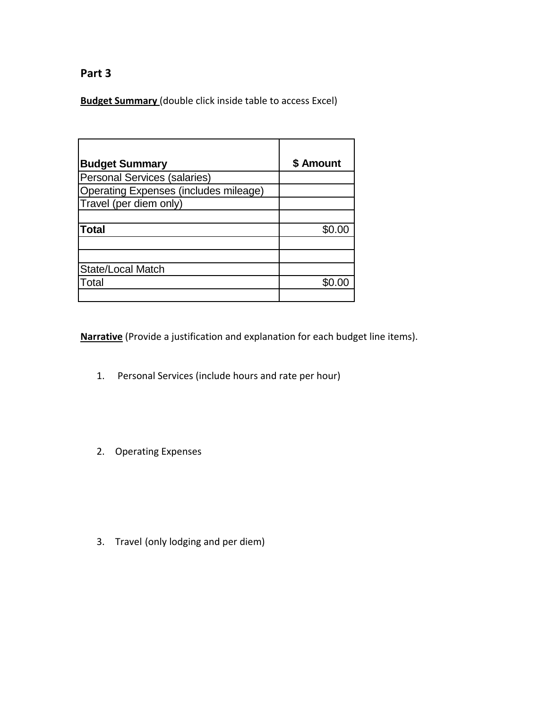## **Part 3**

**Budget Summary** (double click inside table to access Excel)

| <b>Budget Summary</b>                        | \$ Amount |
|----------------------------------------------|-----------|
| Personal Services (salaries)                 |           |
| <b>Operating Expenses (includes mileage)</b> |           |
| Travel (per diem only)                       |           |
|                                              |           |
| <b>Total</b>                                 | .ፍሰ ሰበ    |
|                                              |           |
|                                              |           |
| State/Local Match                            |           |
| Total                                        | ደ0 00     |
|                                              |           |

**Narrative** (Provide a justification and explanation for each budget line items).

- 1. Personal Services (include hours and rate per hour)
- 2. Operating Expenses

3. Travel (only lodging and per diem)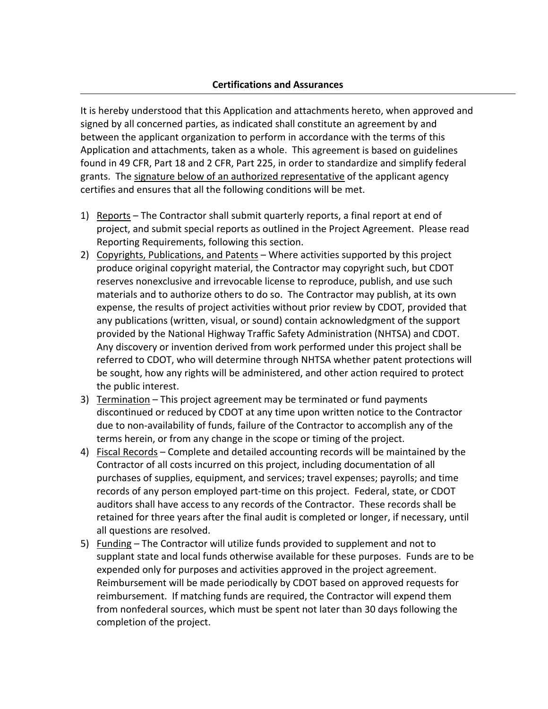It is hereby understood that this Application and attachments hereto, when approved and signed by all concerned parties, as indicated shall constitute an agreement by and between the applicant organization to perform in accordance with the terms of this Application and attachments, taken as a whole. This agreement is based on guidelines found in 49 CFR, Part 18 and 2 CFR, Part 225, in order to standardize and simplify federal grants. The signature below of an authorized representative of the applicant agency certifies and ensures that all the following conditions will be met.

- 1) Reports The Contractor shall submit quarterly reports, a final report at end of project, and submit special reports as outlined in the Project Agreement. Please read Reporting Requirements, following this section.
- 2) Copyrights, Publications, and Patents Where activities supported by this project produce original copyright material, the Contractor may copyright such, but CDOT reserves nonexclusive and irrevocable license to reproduce, publish, and use such materials and to authorize others to do so. The Contractor may publish, at its own expense, the results of project activities without prior review by CDOT, provided that any publications (written, visual, or sound) contain acknowledgment of the support provided by the National Highway Traffic Safety Administration (NHTSA) and CDOT. Any discovery or invention derived from work performed under this project shall be referred to CDOT, who will determine through NHTSA whether patent protections will be sought, how any rights will be administered, and other action required to protect the public interest.
- 3) Termination This project agreement may be terminated or fund payments discontinued or reduced by CDOT at any time upon written notice to the Contractor due to non‐availability of funds, failure of the Contractor to accomplish any of the terms herein, or from any change in the scope or timing of the project.
- 4) Fiscal Records Complete and detailed accounting records will be maintained by the Contractor of all costs incurred on this project, including documentation of all purchases of supplies, equipment, and services; travel expenses; payrolls; and time records of any person employed part‐time on this project. Federal, state, or CDOT auditors shall have access to any records of the Contractor. These records shall be retained for three years after the final audit is completed or longer, if necessary, until all questions are resolved.
- 5) Funding The Contractor will utilize funds provided to supplement and not to supplant state and local funds otherwise available for these purposes. Funds are to be expended only for purposes and activities approved in the project agreement. Reimbursement will be made periodically by CDOT based on approved requests for reimbursement. If matching funds are required, the Contractor will expend them from nonfederal sources, which must be spent not later than 30 days following the completion of the project.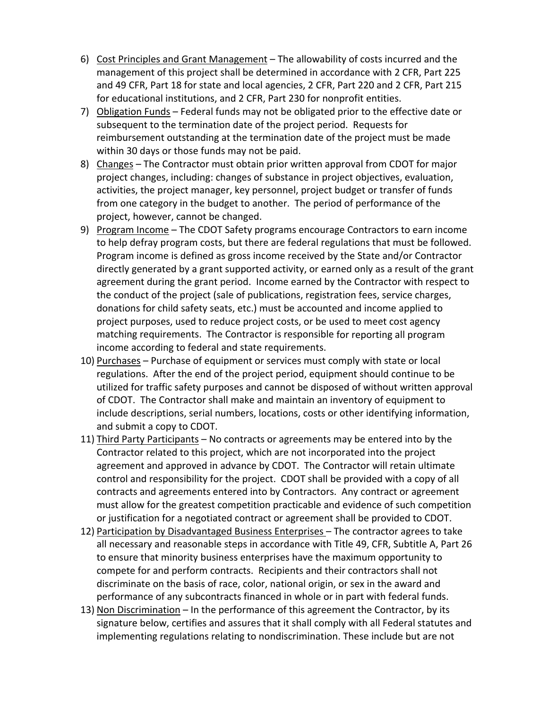- 6) Cost Principles and Grant Management The allowability of costs incurred and the management of this project shall be determined in accordance with 2 CFR, Part 225 and 49 CFR, Part 18 for state and local agencies, 2 CFR, Part 220 and 2 CFR, Part 215 for educational institutions, and 2 CFR, Part 230 for nonprofit entities.
- 7) Obligation Funds Federal funds may not be obligated prior to the effective date or subsequent to the termination date of the project period. Requests for reimbursement outstanding at the termination date of the project must be made within 30 days or those funds may not be paid.
- 8) Changes The Contractor must obtain prior written approval from CDOT for major project changes, including: changes of substance in project objectives, evaluation, activities, the project manager, key personnel, project budget or transfer of funds from one category in the budget to another. The period of performance of the project, however, cannot be changed.
- 9) Program Income The CDOT Safety programs encourage Contractors to earn income to help defray program costs, but there are federal regulations that must be followed. Program income is defined as gross income received by the State and/or Contractor directly generated by a grant supported activity, or earned only as a result of the grant agreement during the grant period. Income earned by the Contractor with respect to the conduct of the project (sale of publications, registration fees, service charges, donations for child safety seats, etc.) must be accounted and income applied to project purposes, used to reduce project costs, or be used to meet cost agency matching requirements. The Contractor is responsible for reporting all program income according to federal and state requirements.
- 10) Purchases Purchase of equipment or services must comply with state or local regulations. After the end of the project period, equipment should continue to be utilized for traffic safety purposes and cannot be disposed of without written approval of CDOT. The Contractor shall make and maintain an inventory of equipment to include descriptions, serial numbers, locations, costs or other identifying information, and submit a copy to CDOT.
- 11) Third Party Participants No contracts or agreements may be entered into by the Contractor related to this project, which are not incorporated into the project agreement and approved in advance by CDOT. The Contractor will retain ultimate control and responsibility for the project. CDOT shall be provided with a copy of all contracts and agreements entered into by Contractors. Any contract or agreement must allow for the greatest competition practicable and evidence of such competition or justification for a negotiated contract or agreement shall be provided to CDOT.
- 12) Participation by Disadvantaged Business Enterprises The contractor agrees to take all necessary and reasonable steps in accordance with Title 49, CFR, Subtitle A, Part 26 to ensure that minority business enterprises have the maximum opportunity to compete for and perform contracts. Recipients and their contractors shall not discriminate on the basis of race, color, national origin, or sex in the award and performance of any subcontracts financed in whole or in part with federal funds.
- 13) Non Discrimination In the performance of this agreement the Contractor, by its signature below, certifies and assures that it shall comply with all Federal statutes and implementing regulations relating to nondiscrimination. These include but are not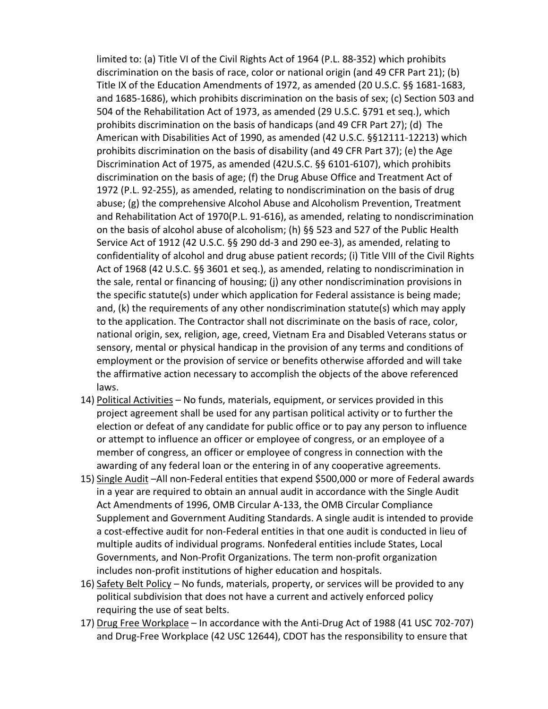limited to: (a) Title VI of the Civil Rights Act of 1964 (P.L. 88‐352) which prohibits discrimination on the basis of race, color or national origin (and 49 CFR Part 21); (b) Title IX of the Education Amendments of 1972, as amended (20 U.S.C. §§ 1681‐1683, and 1685‐1686), which prohibits discrimination on the basis of sex; (c) Section 503 and 504 of the Rehabilitation Act of 1973, as amended (29 U.S.C. §791 et seq.), which prohibits discrimination on the basis of handicaps (and 49 CFR Part 27); (d) The American with Disabilities Act of 1990, as amended (42 U.S.C. §§12111‐12213) which prohibits discrimination on the basis of disability (and 49 CFR Part 37); (e) the Age Discrimination Act of 1975, as amended (42U.S.C. §§ 6101‐6107), which prohibits discrimination on the basis of age; (f) the Drug Abuse Office and Treatment Act of 1972 (P.L. 92‐255), as amended, relating to nondiscrimination on the basis of drug abuse; (g) the comprehensive Alcohol Abuse and Alcoholism Prevention, Treatment and Rehabilitation Act of 1970(P.L. 91‐616), as amended, relating to nondiscrimination on the basis of alcohol abuse of alcoholism; (h) §§ 523 and 527 of the Public Health Service Act of 1912 (42 U.S.C. §§ 290 dd‐3 and 290 ee‐3), as amended, relating to confidentiality of alcohol and drug abuse patient records; (i) Title VIII of the Civil Rights Act of 1968 (42 U.S.C. §§ 3601 et seq.), as amended, relating to nondiscrimination in the sale, rental or financing of housing; (j) any other nondiscrimination provisions in the specific statute(s) under which application for Federal assistance is being made; and, (k) the requirements of any other nondiscrimination statute(s) which may apply to the application. The Contractor shall not discriminate on the basis of race, color, national origin, sex, religion, age, creed, Vietnam Era and Disabled Veterans status or sensory, mental or physical handicap in the provision of any terms and conditions of employment or the provision of service or benefits otherwise afforded and will take the affirmative action necessary to accomplish the objects of the above referenced laws.

- 14) Political Activities No funds, materials, equipment, or services provided in this project agreement shall be used for any partisan political activity or to further the election or defeat of any candidate for public office or to pay any person to influence or attempt to influence an officer or employee of congress, or an employee of a member of congress, an officer or employee of congress in connection with the awarding of any federal loan or the entering in of any cooperative agreements.
- 15) Single Audit –All non‐Federal entities that expend \$500,000 or more of Federal awards in a year are required to obtain an annual audit in accordance with the Single Audit Act Amendments of 1996, OMB Circular A‐133, the OMB Circular Compliance Supplement and Government Auditing Standards. A single audit is intended to provide a cost‐effective audit for non‐Federal entities in that one audit is conducted in lieu of multiple audits of individual programs. Nonfederal entities include States, Local Governments, and Non‐Profit Organizations. The term non‐profit organization includes non‐profit institutions of higher education and hospitals.
- 16) Safety Belt Policy No funds, materials, property, or services will be provided to any political subdivision that does not have a current and actively enforced policy requiring the use of seat belts.
- 17) Drug Free Workplace In accordance with the Anti-Drug Act of 1988 (41 USC 702-707) and Drug‐Free Workplace (42 USC 12644), CDOT has the responsibility to ensure that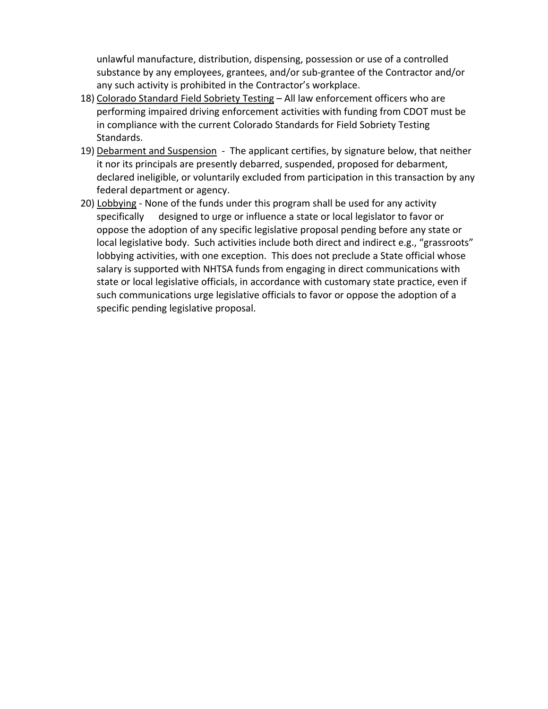unlawful manufacture, distribution, dispensing, possession or use of a controlled substance by any employees, grantees, and/or sub‐grantee of the Contractor and/or any such activity is prohibited in the Contractor's workplace.

- 18) Colorado Standard Field Sobriety Testing All law enforcement officers who are performing impaired driving enforcement activities with funding from CDOT must be in compliance with the current Colorado Standards for Field Sobriety Testing Standards.
- 19) Debarment and Suspension The applicant certifies, by signature below, that neither it nor its principals are presently debarred, suspended, proposed for debarment, declared ineligible, or voluntarily excluded from participation in this transaction by any federal department or agency.
- 20) Lobbying ‐ None of the funds under this program shall be used for any activity specifically designed to urge or influence a state or local legislator to favor or oppose the adoption of any specific legislative proposal pending before any state or local legislative body. Such activities include both direct and indirect e.g., "grassroots" lobbying activities, with one exception. This does not preclude a State official whose salary is supported with NHTSA funds from engaging in direct communications with state or local legislative officials, in accordance with customary state practice, even if such communications urge legislative officials to favor or oppose the adoption of a specific pending legislative proposal.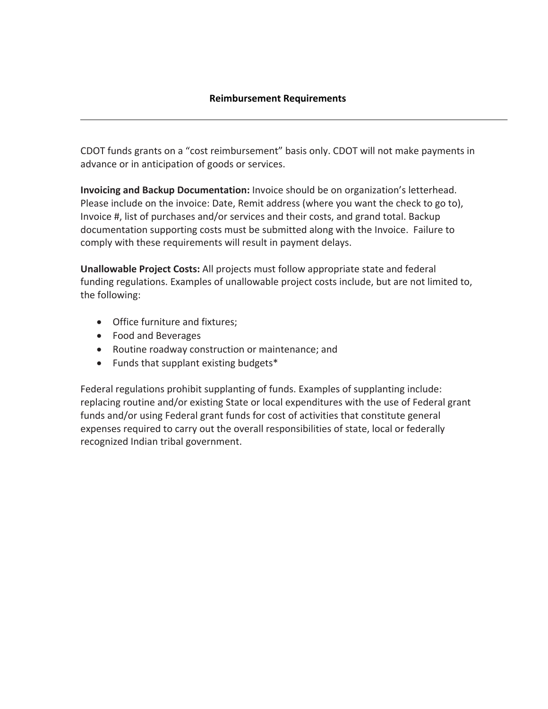CDOT funds grants on a "cost reimbursement" basis only. CDOT will not make payments in advance or in anticipation of goods or services.

**Invoicing and Backup Documentation:** Invoice should be on organization's letterhead. Please include on the invoice: Date, Remit address (where you want the check to go to), Invoice #, list of purchases and/or services and their costs, and grand total. Backup documentation supporting costs must be submitted along with the Invoice. Failure to comply with these requirements will result in payment delays.

**Unallowable Project Costs:** All projects must follow appropriate state and federal funding regulations. Examples of unallowable project costs include, but are not limited to, the following:

- Office furniture and fixtures;
- Food and Beverages
- Routine roadway construction or maintenance; and
- Funds that supplant existing budgets\*

Federal regulations prohibit supplanting of funds. Examples of supplanting include: replacing routine and/or existing State or local expenditures with the use of Federal grant funds and/or using Federal grant funds for cost of activities that constitute general expenses required to carry out the overall responsibilities of state, local or federally recognized Indian tribal government.